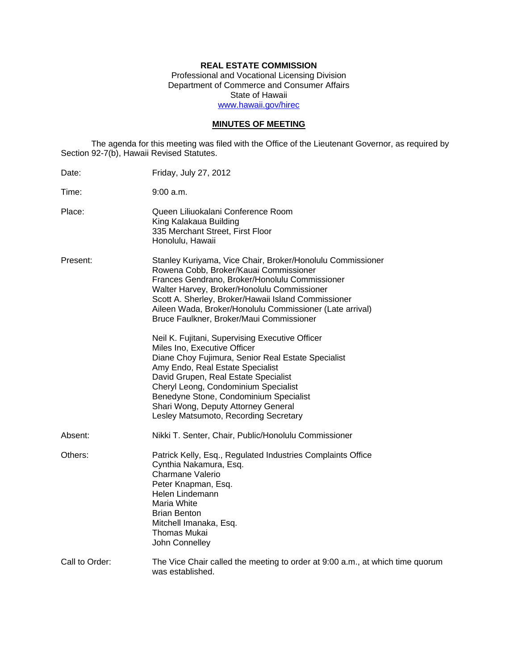# **REAL ESTATE COMMISSION**

Professional and Vocational Licensing Division Department of Commerce and Consumer Affairs State of Hawaii www.hawaii.gov/hirec

## **MINUTES OF MEETING**

The agenda for this meeting was filed with the Office of the Lieutenant Governor, as required by Section 92-7(b), Hawaii Revised Statutes.

| Date:          | Friday, July 27, 2012                                                                                                                                                                                                                                                                                                                                                               |
|----------------|-------------------------------------------------------------------------------------------------------------------------------------------------------------------------------------------------------------------------------------------------------------------------------------------------------------------------------------------------------------------------------------|
| Time:          | 9:00 a.m.                                                                                                                                                                                                                                                                                                                                                                           |
| Place:         | Queen Liliuokalani Conference Room<br>King Kalakaua Building<br>335 Merchant Street, First Floor<br>Honolulu, Hawaii                                                                                                                                                                                                                                                                |
| Present:       | Stanley Kuriyama, Vice Chair, Broker/Honolulu Commissioner<br>Rowena Cobb, Broker/Kauai Commissioner<br>Frances Gendrano, Broker/Honolulu Commissioner<br>Walter Harvey, Broker/Honolulu Commissioner<br>Scott A. Sherley, Broker/Hawaii Island Commissioner<br>Aileen Wada, Broker/Honolulu Commissioner (Late arrival)<br>Bruce Faulkner, Broker/Maui Commissioner                |
|                | Neil K. Fujitani, Supervising Executive Officer<br>Miles Ino, Executive Officer<br>Diane Choy Fujimura, Senior Real Estate Specialist<br>Amy Endo, Real Estate Specialist<br>David Grupen, Real Estate Specialist<br>Cheryl Leong, Condominium Specialist<br>Benedyne Stone, Condominium Specialist<br>Shari Wong, Deputy Attorney General<br>Lesley Matsumoto, Recording Secretary |
| Absent:        | Nikki T. Senter, Chair, Public/Honolulu Commissioner                                                                                                                                                                                                                                                                                                                                |
| Others:        | Patrick Kelly, Esq., Regulated Industries Complaints Office<br>Cynthia Nakamura, Esq.<br><b>Charmane Valerio</b><br>Peter Knapman, Esq.<br>Helen Lindemann<br>Maria White<br><b>Brian Benton</b><br>Mitchell Imanaka, Esq.<br><b>Thomas Mukai</b><br>John Connelley                                                                                                                 |
| Call to Order: | The Vice Chair called the meeting to order at 9:00 a.m., at which time quorum<br>was established.                                                                                                                                                                                                                                                                                   |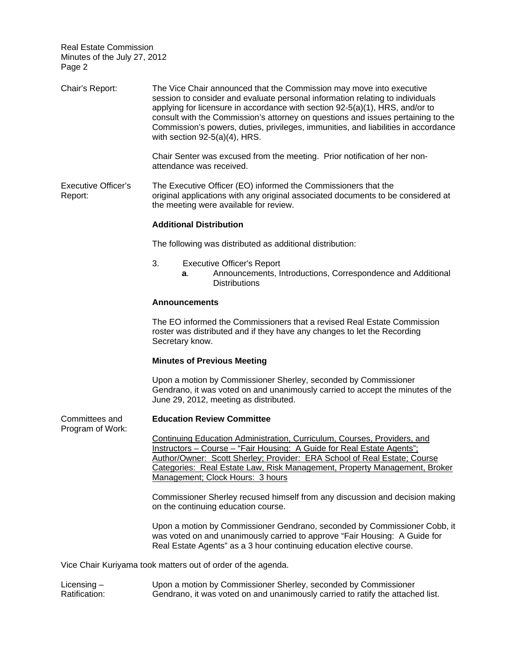| Chair's Report:                       | The Vice Chair announced that the Commission may move into executive<br>session to consider and evaluate personal information relating to individuals<br>applying for licensure in accordance with section 92-5(a)(1), HRS, and/or to<br>consult with the Commission's attorney on questions and issues pertaining to the<br>Commission's powers, duties, privileges, immunities, and liabilities in accordance<br>with section $92-5(a)(4)$ , HRS. |
|---------------------------------------|-----------------------------------------------------------------------------------------------------------------------------------------------------------------------------------------------------------------------------------------------------------------------------------------------------------------------------------------------------------------------------------------------------------------------------------------------------|
|                                       | Chair Senter was excused from the meeting. Prior notification of her non-<br>attendance was received.                                                                                                                                                                                                                                                                                                                                               |
| <b>Executive Officer's</b><br>Report: | The Executive Officer (EO) informed the Commissioners that the<br>original applications with any original associated documents to be considered at<br>the meeting were available for review.                                                                                                                                                                                                                                                        |
|                                       | <b>Additional Distribution</b>                                                                                                                                                                                                                                                                                                                                                                                                                      |
|                                       | The following was distributed as additional distribution:                                                                                                                                                                                                                                                                                                                                                                                           |
|                                       | 3.<br><b>Executive Officer's Report</b><br>Announcements, Introductions, Correspondence and Additional<br>а.<br><b>Distributions</b>                                                                                                                                                                                                                                                                                                                |
|                                       | <b>Announcements</b>                                                                                                                                                                                                                                                                                                                                                                                                                                |
|                                       | The EO informed the Commissioners that a revised Real Estate Commission<br>roster was distributed and if they have any changes to let the Recording<br>Secretary know.                                                                                                                                                                                                                                                                              |
|                                       | <b>Minutes of Previous Meeting</b>                                                                                                                                                                                                                                                                                                                                                                                                                  |
|                                       | Upon a motion by Commissioner Sherley, seconded by Commissioner<br>Gendrano, it was voted on and unanimously carried to accept the minutes of the<br>June 29, 2012, meeting as distributed.                                                                                                                                                                                                                                                         |
| Committees and                        | <b>Education Review Committee</b>                                                                                                                                                                                                                                                                                                                                                                                                                   |
| Program of Work:                      | <b>Continuing Education Administration, Curriculum, Courses, Providers, and</b><br>Instructors - Course - "Fair Housing: A Guide for Real Estate Agents";<br>Author/Owner: Scott Sherley; Provider: ERA School of Real Estate; Course<br>Categories: Real Estate Law, Risk Management, Property Management, Broker<br>Management; Clock Hours: 3 hours                                                                                              |
|                                       | Commissioner Sherley recused himself from any discussion and decision making<br>on the continuing education course.                                                                                                                                                                                                                                                                                                                                 |
|                                       | Upon a motion by Commissioner Gendrano, seconded by Commissioner Cobb, it<br>was voted on and unanimously carried to approve "Fair Housing: A Guide for<br>Real Estate Agents" as a 3 hour continuing education elective course.                                                                                                                                                                                                                    |
|                                       | Vice Chair Kuriyama took matters out of order of the agenda.                                                                                                                                                                                                                                                                                                                                                                                        |
| Licensing $-$<br>Ratification:        | Upon a motion by Commissioner Sherley, seconded by Commissioner<br>Gendrano, it was voted on and unanimously carried to ratify the attached list.                                                                                                                                                                                                                                                                                                   |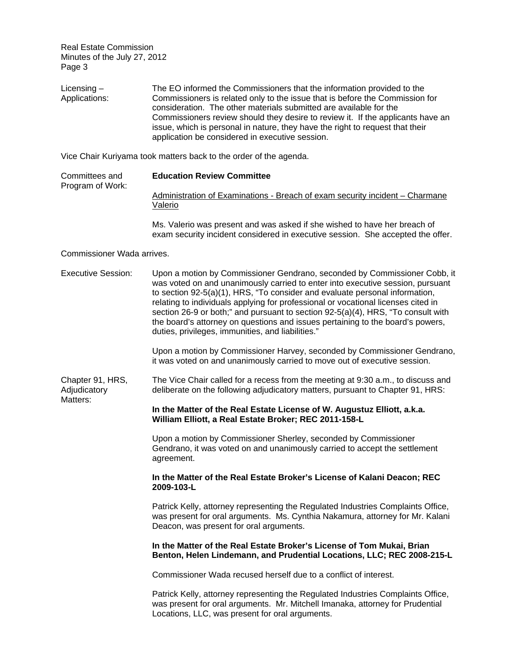Licensing – Applications: The EO informed the Commissioners that the information provided to the Commissioners is related only to the issue that is before the Commission for consideration. The other materials submitted are available for the Commissioners review should they desire to review it. If the applicants have an issue, which is personal in nature, they have the right to request that their application be considered in executive session.

Vice Chair Kuriyama took matters back to the order of the agenda.

| Committees and   | <b>Education Review Committee</b>                                            |  |  |
|------------------|------------------------------------------------------------------------------|--|--|
| Program of Work: |                                                                              |  |  |
|                  | Administration of Examinations - Breach of exam security incident – Charmane |  |  |
|                  | Valerio                                                                      |  |  |

Ms. Valerio was present and was asked if she wished to have her breach of exam security incident considered in executive session. She accepted the offer.

#### Commissioner Wada arrives.

| <b>Executive Session:</b>                    | Upon a motion by Commissioner Gendrano, seconded by Commissioner Cobb, it<br>was voted on and unanimously carried to enter into executive session, pursuant<br>to section 92-5(a)(1), HRS, "To consider and evaluate personal information,<br>relating to individuals applying for professional or vocational licenses cited in<br>section 26-9 or both;" and pursuant to section 92-5(a)(4), HRS, "To consult with<br>the board's attorney on questions and issues pertaining to the board's powers,<br>duties, privileges, immunities, and liabilities."<br>Upon a motion by Commissioner Harvey, seconded by Commissioner Gendrano,<br>it was voted on and unanimously carried to move out of executive session. |
|----------------------------------------------|---------------------------------------------------------------------------------------------------------------------------------------------------------------------------------------------------------------------------------------------------------------------------------------------------------------------------------------------------------------------------------------------------------------------------------------------------------------------------------------------------------------------------------------------------------------------------------------------------------------------------------------------------------------------------------------------------------------------|
| Chapter 91, HRS,<br>Adjudicatory<br>Matters: | The Vice Chair called for a recess from the meeting at 9:30 a.m., to discuss and<br>deliberate on the following adjudicatory matters, pursuant to Chapter 91, HRS:                                                                                                                                                                                                                                                                                                                                                                                                                                                                                                                                                  |
|                                              | In the Matter of the Real Estate License of W. Augustuz Elliott, a.k.a.<br>William Elliott, a Real Estate Broker; REC 2011-158-L                                                                                                                                                                                                                                                                                                                                                                                                                                                                                                                                                                                    |
|                                              | Upon a motion by Commissioner Sherley, seconded by Commissioner<br>Gendrano, it was voted on and unanimously carried to accept the settlement<br>agreement.                                                                                                                                                                                                                                                                                                                                                                                                                                                                                                                                                         |
|                                              | In the Matter of the Real Estate Broker's License of Kalani Deacon; REC<br>2009-103-L                                                                                                                                                                                                                                                                                                                                                                                                                                                                                                                                                                                                                               |
|                                              | Patrick Kelly, attorney representing the Regulated Industries Complaints Office,<br>was present for oral arguments. Ms. Cynthia Nakamura, attorney for Mr. Kalani<br>Deacon, was present for oral arguments.                                                                                                                                                                                                                                                                                                                                                                                                                                                                                                        |
|                                              | In the Matter of the Real Estate Broker's License of Tom Mukai, Brian<br>Benton, Helen Lindemann, and Prudential Locations, LLC; REC 2008-215-L                                                                                                                                                                                                                                                                                                                                                                                                                                                                                                                                                                     |
|                                              | Commissioner Wada recused herself due to a conflict of interest.                                                                                                                                                                                                                                                                                                                                                                                                                                                                                                                                                                                                                                                    |
|                                              | Patrick Kelly, attorney representing the Regulated Industries Complaints Office,<br>was present for oral arguments. Mr. Mitchell Imanaka, attorney for Prudential<br>Locations, LLC, was present for oral arguments.                                                                                                                                                                                                                                                                                                                                                                                                                                                                                                |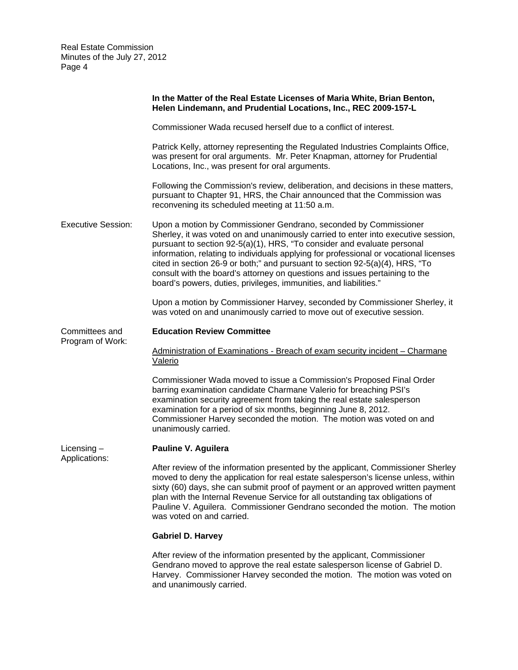|                                | In the Matter of the Real Estate Licenses of Maria White, Brian Benton,<br>Helen Lindemann, and Prudential Locations, Inc., REC 2009-157-L                                                                                                                                                                                                                                                                                                                                                                                                                    |  |
|--------------------------------|---------------------------------------------------------------------------------------------------------------------------------------------------------------------------------------------------------------------------------------------------------------------------------------------------------------------------------------------------------------------------------------------------------------------------------------------------------------------------------------------------------------------------------------------------------------|--|
|                                | Commissioner Wada recused herself due to a conflict of interest.                                                                                                                                                                                                                                                                                                                                                                                                                                                                                              |  |
|                                | Patrick Kelly, attorney representing the Regulated Industries Complaints Office,<br>was present for oral arguments. Mr. Peter Knapman, attorney for Prudential<br>Locations, Inc., was present for oral arguments.                                                                                                                                                                                                                                                                                                                                            |  |
|                                | Following the Commission's review, deliberation, and decisions in these matters,<br>pursuant to Chapter 91, HRS, the Chair announced that the Commission was<br>reconvening its scheduled meeting at 11:50 a.m.                                                                                                                                                                                                                                                                                                                                               |  |
| <b>Executive Session:</b>      | Upon a motion by Commissioner Gendrano, seconded by Commissioner<br>Sherley, it was voted on and unanimously carried to enter into executive session,<br>pursuant to section 92-5(a)(1), HRS, "To consider and evaluate personal<br>information, relating to individuals applying for professional or vocational licenses<br>cited in section 26-9 or both;" and pursuant to section 92-5(a)(4), HRS, "To<br>consult with the board's attorney on questions and issues pertaining to the<br>board's powers, duties, privileges, immunities, and liabilities." |  |
|                                | Upon a motion by Commissioner Harvey, seconded by Commissioner Sherley, it<br>was voted on and unanimously carried to move out of executive session.                                                                                                                                                                                                                                                                                                                                                                                                          |  |
| Committees and                 | <b>Education Review Committee</b>                                                                                                                                                                                                                                                                                                                                                                                                                                                                                                                             |  |
| Program of Work:               | Administration of Examinations - Breach of exam security incident – Charmane<br>Valerio                                                                                                                                                                                                                                                                                                                                                                                                                                                                       |  |
|                                | Commissioner Wada moved to issue a Commission's Proposed Final Order<br>barring examination candidate Charmane Valerio for breaching PSI's<br>examination security agreement from taking the real estate salesperson<br>examination for a period of six months, beginning June 8, 2012.<br>Commissioner Harvey seconded the motion. The motion was voted on and<br>unanimously carried.                                                                                                                                                                       |  |
| Licensing $-$<br>Applications: | Pauline V. Aguilera                                                                                                                                                                                                                                                                                                                                                                                                                                                                                                                                           |  |
|                                | After review of the information presented by the applicant, Commissioner Sherley<br>moved to deny the application for real estate salesperson's license unless, within<br>sixty (60) days, she can submit proof of payment or an approved written payment<br>plan with the Internal Revenue Service for all outstanding tax obligations of<br>Pauline V. Aguilera. Commissioner Gendrano seconded the motion. The motion<br>was voted on and carried.                                                                                                         |  |
|                                | <b>Gabriel D. Harvey</b>                                                                                                                                                                                                                                                                                                                                                                                                                                                                                                                                      |  |
|                                | After review of the information presented by the applicant, Commissioner<br>Gendrano moved to approve the real estate salesperson license of Gabriel D.<br>Harvey. Commissioner Harvey seconded the motion. The motion was voted on<br>and unanimously carried.                                                                                                                                                                                                                                                                                               |  |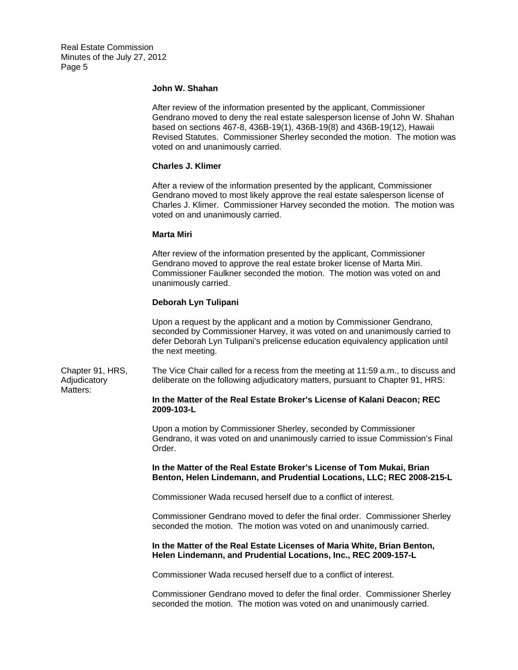#### **John W. Shahan**

After review of the information presented by the applicant, Commissioner Gendrano moved to deny the real estate salesperson license of John W. Shahan based on sections 467-8, 436B-19(1), 436B-19(8) and 436B-19(12), Hawaii Revised Statutes. Commissioner Sherley seconded the motion. The motion was voted on and unanimously carried.

#### **Charles J. Klimer**

After a review of the information presented by the applicant, Commissioner Gendrano moved to most likely approve the real estate salesperson license of Charles J. Klimer. Commissioner Harvey seconded the motion. The motion was voted on and unanimously carried.

#### **Marta Miri**

After review of the information presented by the applicant, Commissioner Gendrano moved to approve the real estate broker license of Marta Miri. Commissioner Faulkner seconded the motion. The motion was voted on and unanimously carried.

### **Deborah Lyn Tulipani**

Upon a request by the applicant and a motion by Commissioner Gendrano, seconded by Commissioner Harvey, it was voted on and unanimously carried to defer Deborah Lyn Tulipani's prelicense education equivalency application until the next meeting.

Adjudicatory Chapter 91, HRS, The Vice Chair called for a recess from the meeting at 11:59 a.m., to discuss and deliberate on the following adjudicatory matters, pursuant to Chapter 91, HRS: Matters:

#### **In the Matter of the Real Estate Broker's License of Kalani Deacon; REC 2009-103-L**

Upon a motion by Commissioner Sherley, seconded by Commissioner Gendrano, it was voted on and unanimously carried to issue Commission's Final Order.

#### **In the Matter of the Real Estate Broker's License of Tom Mukai, Brian Benton, Helen Lindemann, and Prudential Locations, LLC; REC 2008-215-L**

Commissioner Wada recused herself due to a conflict of interest.

Commissioner Gendrano moved to defer the final order. Commissioner Sherley seconded the motion. The motion was voted on and unanimously carried.

#### **In the Matter of the Real Estate Licenses of Maria White, Brian Benton, Helen Lindemann, and Prudential Locations, Inc., REC 2009-157-L**

Commissioner Wada recused herself due to a conflict of interest.

Commissioner Gendrano moved to defer the final order. Commissioner Sherley seconded the motion. The motion was voted on and unanimously carried.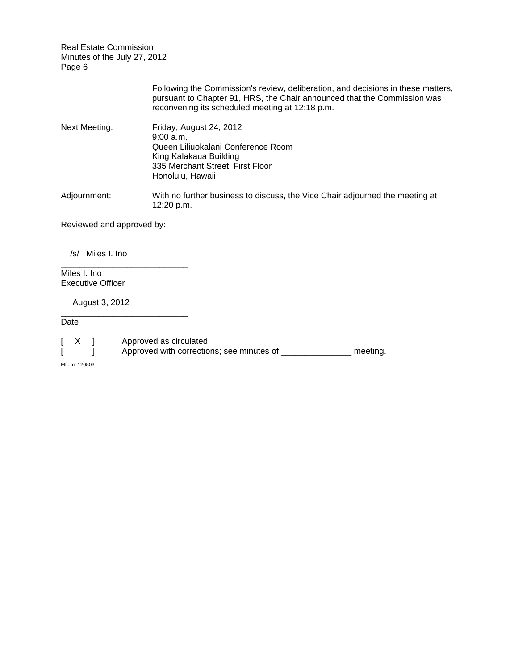|                           | Following the Commission's review, deliberation, and decisions in these matters,<br>pursuant to Chapter 91, HRS, the Chair announced that the Commission was<br>reconvening its scheduled meeting at 12:18 p.m. |
|---------------------------|-----------------------------------------------------------------------------------------------------------------------------------------------------------------------------------------------------------------|
| Next Meeting:             | Friday, August 24, 2012<br>9:00a.m.<br>Queen Liliuokalani Conference Room<br>King Kalakaua Building<br>335 Merchant Street, First Floor<br>Honolulu, Hawaii                                                     |
| Adjournment:              | With no further business to discuss, the Vice Chair adjourned the meeting at<br>12:20 p.m.                                                                                                                      |
| Reviewed and approved by: |                                                                                                                                                                                                                 |

/s/ Miles I. Ino

\_\_\_\_\_\_\_\_\_\_\_\_\_\_\_\_\_\_\_\_\_\_\_\_\_\_\_

\_\_\_\_\_\_\_\_\_\_\_\_\_\_\_\_\_\_\_\_\_\_\_\_\_\_\_

Miles I. Ino Executive Officer

August 3, 2012

Date

[ X ] Approved as circulated.

[ ] Approved with corrections; see minutes of \_\_\_\_\_\_\_\_\_\_\_\_\_\_\_\_ meeting.

MII:lm 120803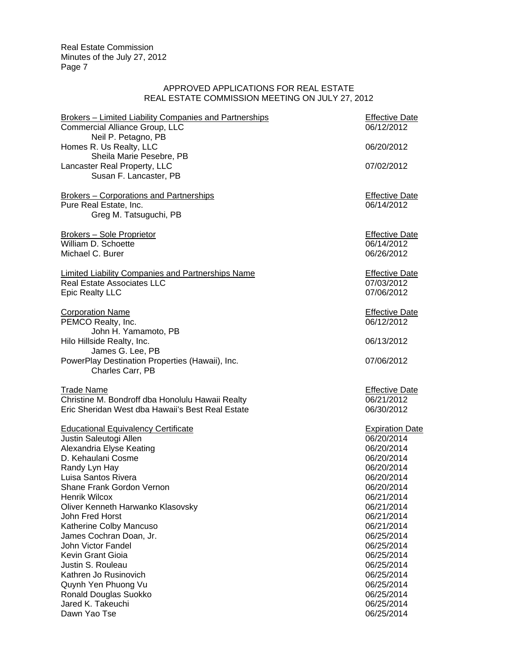## APPROVED APPLICATIONS FOR REAL ESTATE REAL ESTATE COMMISSION MEETING ON JULY 27, 2012

| <b>Brokers - Limited Liability Companies and Partnerships</b><br>Commercial Alliance Group, LLC<br>Neil P. Petagno, PB  | <b>Effective Date</b><br>06/12/2012               |  |
|-------------------------------------------------------------------------------------------------------------------------|---------------------------------------------------|--|
| Homes R. Us Realty, LLC<br>Sheila Marie Pesebre, PB                                                                     | 06/20/2012                                        |  |
| Lancaster Real Property, LLC<br>Susan F. Lancaster, PB                                                                  | 07/02/2012                                        |  |
| <b>Brokers - Corporations and Partnerships</b><br>Pure Real Estate, Inc.<br>Greg M. Tatsuguchi, PB                      | <b>Effective Date</b><br>06/14/2012               |  |
| Brokers - Sole Proprietor<br>William D. Schoette<br>Michael C. Burer                                                    | <b>Effective Date</b><br>06/14/2012<br>06/26/2012 |  |
| <b>Limited Liability Companies and Partnerships Name</b><br><b>Real Estate Associates LLC</b><br><b>Epic Realty LLC</b> | <b>Effective Date</b><br>07/03/2012<br>07/06/2012 |  |
| <b>Corporation Name</b><br>PEMCO Realty, Inc.<br>John H. Yamamoto, PB                                                   | <b>Effective Date</b><br>06/12/2012               |  |
| Hilo Hillside Realty, Inc.<br>James G. Lee, PB                                                                          | 06/13/2012                                        |  |
| PowerPlay Destination Properties (Hawaii), Inc.<br>Charles Carr, PB                                                     | 07/06/2012                                        |  |
| <b>Trade Name</b>                                                                                                       | <b>Effective Date</b>                             |  |
| Christine M. Bondroff dba Honolulu Hawaii Realty<br>Eric Sheridan West dba Hawaii's Best Real Estate                    | 06/21/2012<br>06/30/2012                          |  |
| <b>Educational Equivalency Certificate</b>                                                                              | <b>Expiration Date</b>                            |  |
| Justin Saleutogi Allen                                                                                                  | 06/20/2014                                        |  |
| Alexandria Elyse Keating                                                                                                | 06/20/2014                                        |  |
| D. Kehaulani Cosme                                                                                                      | 06/20/2014                                        |  |
| Randy Lyn Hay                                                                                                           | 06/20/2014                                        |  |
| Luisa Santos Rivera                                                                                                     | 06/20/2014                                        |  |
| Shane Frank Gordon Vernon                                                                                               | 06/20/2014                                        |  |
| <b>Henrik Wilcox</b>                                                                                                    | 06/21/2014                                        |  |
| Oliver Kenneth Harwanko Klasovsky                                                                                       | 06/21/2014                                        |  |
| John Fred Horst                                                                                                         | 06/21/2014                                        |  |
| Katherine Colby Mancuso                                                                                                 | 06/21/2014                                        |  |
| James Cochran Doan, Jr.                                                                                                 | 06/25/2014                                        |  |
| John Victor Fandel                                                                                                      | 06/25/2014                                        |  |
| Kevin Grant Gioia                                                                                                       | 06/25/2014                                        |  |
| Justin S. Rouleau                                                                                                       | 06/25/2014                                        |  |
| Kathren Jo Rusinovich                                                                                                   | 06/25/2014                                        |  |
| Quynh Yen Phuong Vu                                                                                                     | 06/25/2014                                        |  |
| Ronald Douglas Suokko                                                                                                   | 06/25/2014                                        |  |
| Jared K. Takeuchi                                                                                                       | 06/25/2014                                        |  |
| Dawn Yao Tse                                                                                                            | 06/25/2014                                        |  |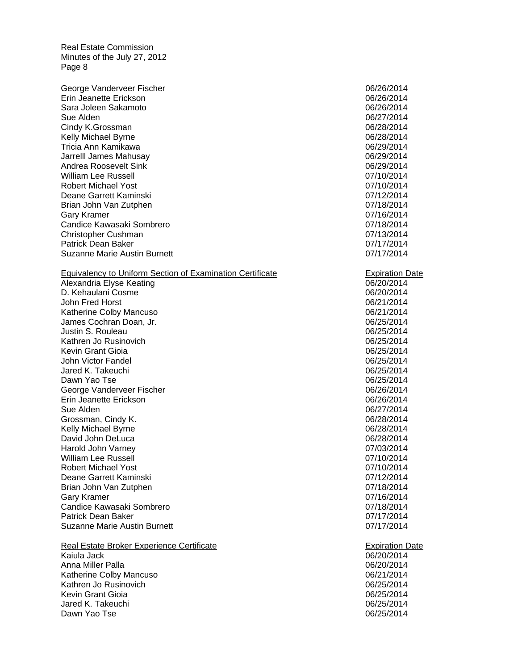Erin Jeanette Erickson 06/26/2014 Sara Joleen Sakamoto 06/26/2014 Tricia Ann Kamikawa 06/29/2014 William Lee Russell 07/10/2014 George Vanderveer Fischer 1999 and 1999 and 1999 and 1999 and 1999 and 1999 and 1999 and 1999 and 1999 and 19 Sue Alden 06/27/2014 Cindy K.Grossman 06/28/2014 Kelly Michael Byrne **1898** 2014 Jarrelll James Mahusay 06/29/2014 Andrea Roosevelt Sink **Contract Sink** 06/29/2014 Robert Michael Yost 07/10/2014 Deane Garrett Kaminski 07/12/2014 Brian John Van Zutphen 07/18/2014 Gary Kramer 2001 2014 12:30 12:30 12:30 12:30 12:30 12:30 12:30 12:30 12:30 12:30 12:30 12:30 12:30 12:30 12:30 12:30 12:30 12:30 12:30 12:30 12:30 12:30 12:30 12:30 12:30 12:30 12:30 12:30 12:30 12:30 12:30 12:30 12:30 12 Candice Kawasaki Sombrero 2007/18/2014 Christopher Cushman 07/13/2014 Patrick Dean Baker 07/17/2014 Suzanne Marie Austin Burnett **Democratische Community** COVIT/2014

#### **Equivalency to Uniform Section of Examination Certificate Expiration Date**

 Alexandria Elyse Keating 06/20/2014 John Fred Horst 06/21/2014 John Victor Fandel 06/25/2014 Erin Jeanette Erickson 06/26/2014 William Lee Russell 07/10/2014 D. Kehaulani Cosme 06/2014 Katherine Colby Mancuso **06/21/2014 Colby Mancuso** James Cochran Doan, Jr. 06/25/2014 Justin S. Rouleau **06/25/2014** Kathren Jo Rusinovich **Cathren Controller Controller Controller** Controller Controller Controller Controller Controller Controller Controller Controller Controller Controller Controller Controller Controller Controller Con Kevin Grant Gioia 06/25/2014 Jared K. Takeuchi 06/25/2014 Dawn Yao Tse 06/25/2014 George Vanderveer Fischer 1990 and 1990 and 1990 and 1990 and 1990 and 1990 and 1990 and 1990 and 1990 and 19 Sue Alden 06/27/2014 Grossman, Cindy K. 06/28/2014 Kelly Michael Byrne **1892** 2014 David John DeLuca 06/28/2014 Harold John Varney 07/03/2014 Robert Michael Yost 07/10/2014 Deane Garrett Kaminski 07/12/2014 Brian John Van Zutphen 07/18/2014 Gary Kramer **68 and 1999** Control of the United States of the United States of the United States of the United States of the United States of the United States of the United States of the United States of the United States Candice Kawasaki Sombrero **07/18/2014** Patrick Dean Baker 2007 17/2014 Suzanne Marie Austin Burnett **07/17/2014** 

Real Estate Broker Experience Certificate **Expiration Date** Expiration Date Kaiula Jack 06/20/2014 Anna Miller Palla 06/20/2014 Katherine Colby Mancuso **06/21/2014 Colby Mancuso** Kathren Jo Rusinovich **Cathren Controlled Controlled Controlled Controlled Controlled Controlled Controlled Controlled Controlled Controlled Controlled Controlled Controlled Controlled Controlled Controlled Controlled Cont** Kevin Grant Gioia 06/25/2014 Jared K. Takeuchi 06/25/2014 Dawn Yao Tse 06/25/2014